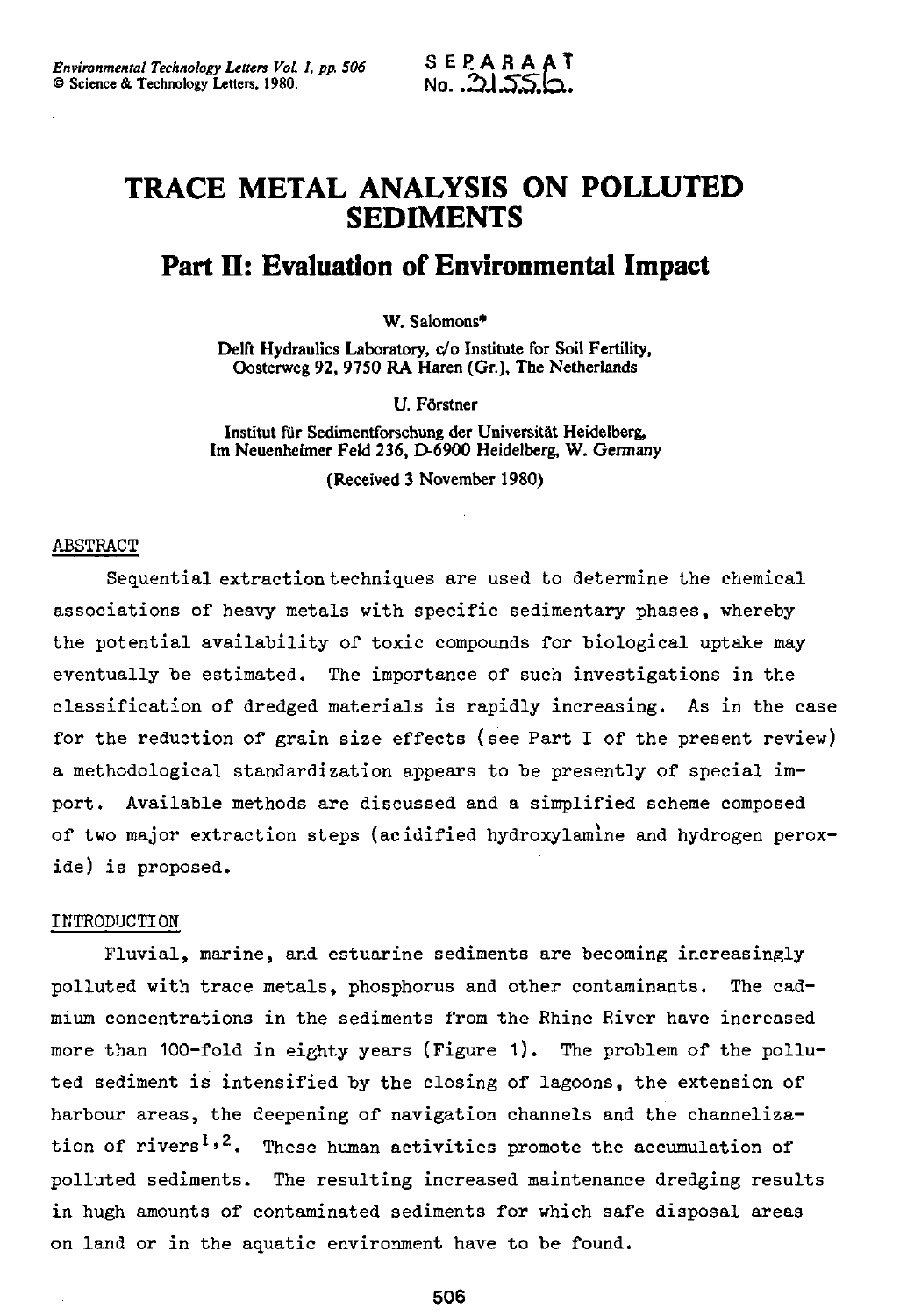# **TRACE METAL ANALYSIS ON POLLUTED SEDIMENTS**

# **Part II: Evaluation of Environmental Impact**

W. Salomons\*

Delft Hydraulics Laboratory, c/o Institute for Soil Fertility, Oosterweg 92, 9750 RA Haren (Gr.), The Netherlands

U. Förstner

Institut für Sedimentforschung der Universität Heidelberg, Im Neuenheimer Feld 236, D-6900 Heidelberg, W. Germany

(Received 3 November 1980)

### ABSTRACT

Sequential extraction techniques are used to determine the chemical associations of heavy metals with specific sedimentary phases, whereby the potential availability of toxic compounds for biological uptake may eventually be estimated. The importance of such investigations in the classification of dredged materials is rapidly increasing. As in the case for the reduction of grain size effects (see Part I of the present review) a methodological standardization appears to be presently of special import. Available methods are discussed and a simplified scheme composed of two major extraction steps (acidified hydroxylamine and hydrogen peroxide) is proposed.

#### INTRODUCTION

Fluvial, marine, and estuarine sediments are becoming increasingly polluted with trace metals, phosphorus and other contaminants. The cadmium concentrations in the sediments from the Rhine River have increased more than 100-fold in eighty years (Figure 1). The problem of the polluted sediment is intensified by the closing of lagoons, the extension of harbour areas, the deepening of navigation channels and the channelization of rivers<sup>1,2</sup>. These human activities promote the accumulation of polluted sediments. The resulting increased maintenance dredging results in hugh amounts of contaminated sediments for which safe disposal areas on land or in the aquatic environment have to be found.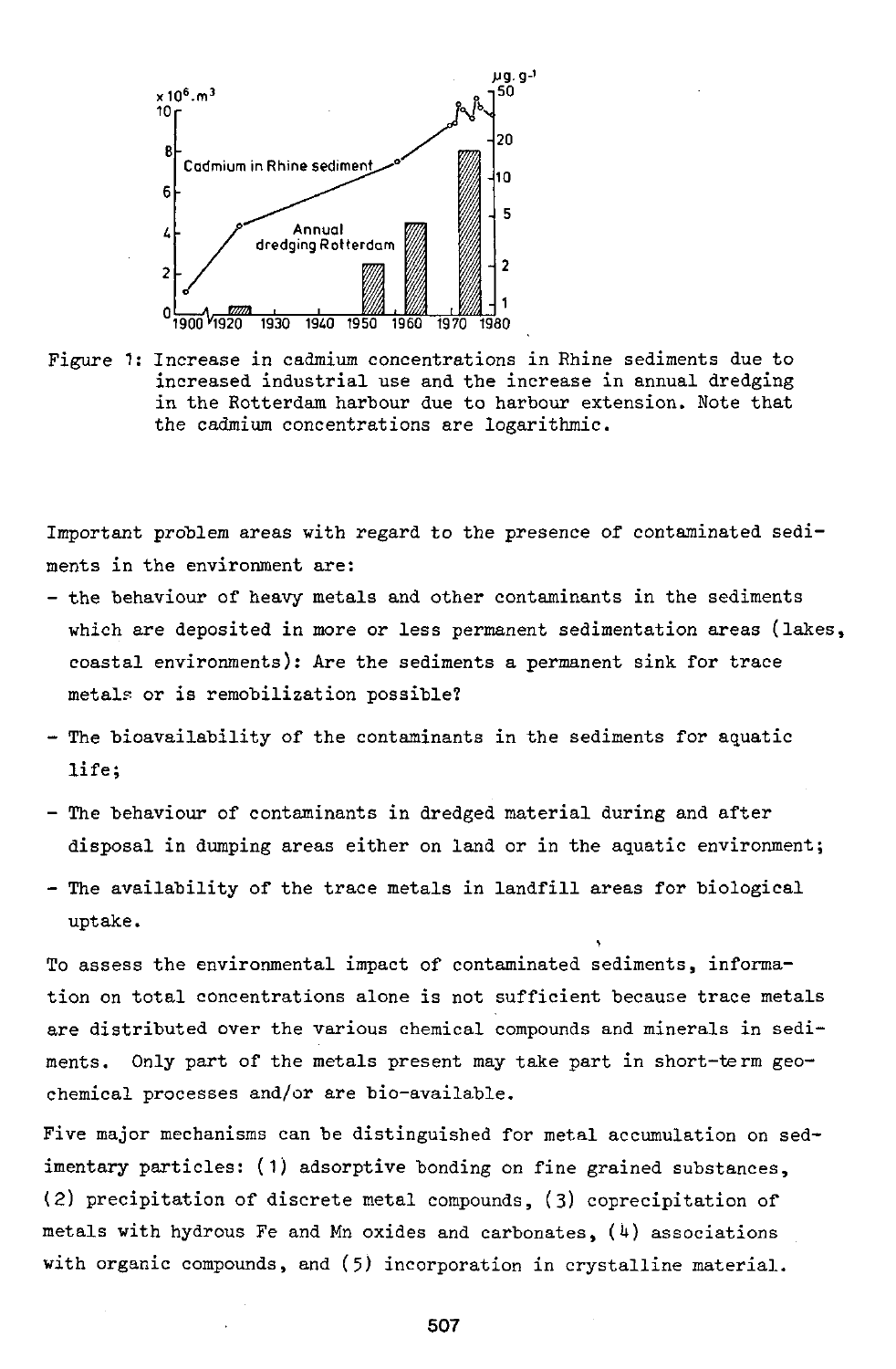

Figure 1: Increase in cadmium concentrations in Rhine sediments due to increased industrial use and the increase in annual dredging in the Rotterdam harbour due to harbour extension. Note that the cadmium concentrations are logarithmic.

Important problem areas with regard to the presence of contaminated sediments in the environment are:

- the behaviour of heavy metals and other contaminants in the sediments which are deposited in more or less permanent sedimentation areas (lakes, coastal environments): Are the sediments a permanent sink for trace metals or is remobilization possible?
- The bioavailability of the contaminants in the sediments for aquatic life;
- The behaviour of contaminants in dredged material during and after disposal in dumping areas either on land or in the aquatic environment;
- The availability of the trace metals in landfill areas for biological uptake.

To assess the environmental impact of contaminated sediments, information on total concentrations alone is not sufficient because trace metals are distributed over the various chemical compounds and minerals in sediments. Only part of the metals present may take part in short-term geochemical processes and/or are bio-available.

Five major mechanisms can be distinguished for metal accumulation on sedimentary particles: (1) adsorptive bonding on fine grained substances, (2) precipitation of discrete metal compounds, (3) coprecipitation of metals with hydrous Fe and Mn oxides and carbonates,  $(4)$  associations with organic compounds, and (5) incorporation in crystalline material.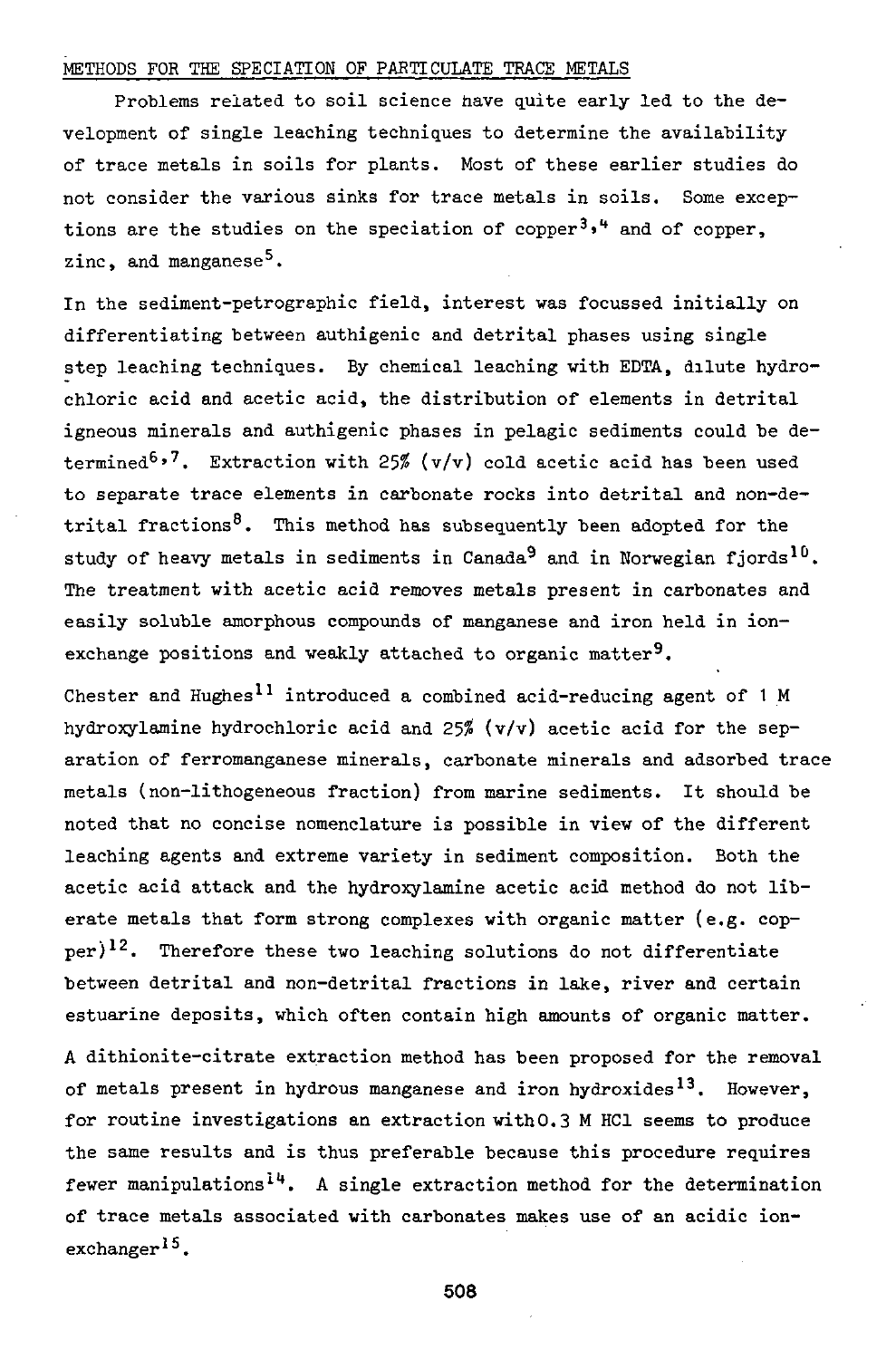## METHODS FOR THE SPECIATION OF PARTICULATE TRACE METALS

Problems related to soil science have quite early led to the development of single leaching techniques to determine the availability of trace metals in soils for plants. Most of these earlier studies do not consider the various sinks for trace metals in soils. Some exceptions are the studies on the speciation of copper<sup>3,4</sup> and zinc, and manganese<sup>5</sup>.

In the sediment-petrographic field, interest was focussed initially on differentiating between authigenic and detrital phases using single step leaching techniques. By chemical leaching with EDTA, dilute hydrochloric acid and acetic acid, the distribution of elements in detrital igneous minerals and authigenic phases in pelagic sediments could be determined<sup>6,7</sup>. Extraction with 25% (v/v) cold acetic acid has to separate trace elements in carbonate rocks into detrital and non-detrital fractions<sup>8</sup>. This method has subsequently been adopted for the study of heavy metals in sediments in Canada<sup>9</sup> and in Norwegia The treatment with acetic acid removes metals present in carbonates and easily soluble amorphous compounds of manganese and iron held in ionexchange positions and weakly attached to organic matter<sup>9</sup>.

Chester and Hughes<sup>11</sup> introduced a combined acid-reducing  $a_0$ hydroxylamine hydrochloric acid and *25%* (v/v) acetic acid for the separation of ferromanganese minerals, carbonate minerals and adsorbed trace metals (non-lithogeneous fraction) from marine sediments. It should be noted that no concise nomenclature is possible in view of the different leaching agents and extreme variety in sediment composition. Both the acetic acid attack and the hydroxylamine acetic acid method do not liberate metals that form strong complexes with organic matter (e.g. copper)<sup>12</sup>. Therefore these two leaching solutions do not differentiate between detrital and non-detrital fractions in lake, river and certain estuarine deposits, which often contain high amounts of organic matter.

A dithionite-citrate extraction method has been proposed for the removal of metals present in hydrous manganese and iron hydroxides<sup>13</sup>. However, for routine investigations an extraction with0.3 M HCl seems to produce the same results and is thus preferable because this procedure requires fewer manipulations<sup>14</sup>. A single extraction method for the deter of trace metals associated with carbonates makes use of an acidic ionexchanger<sup>15</sup>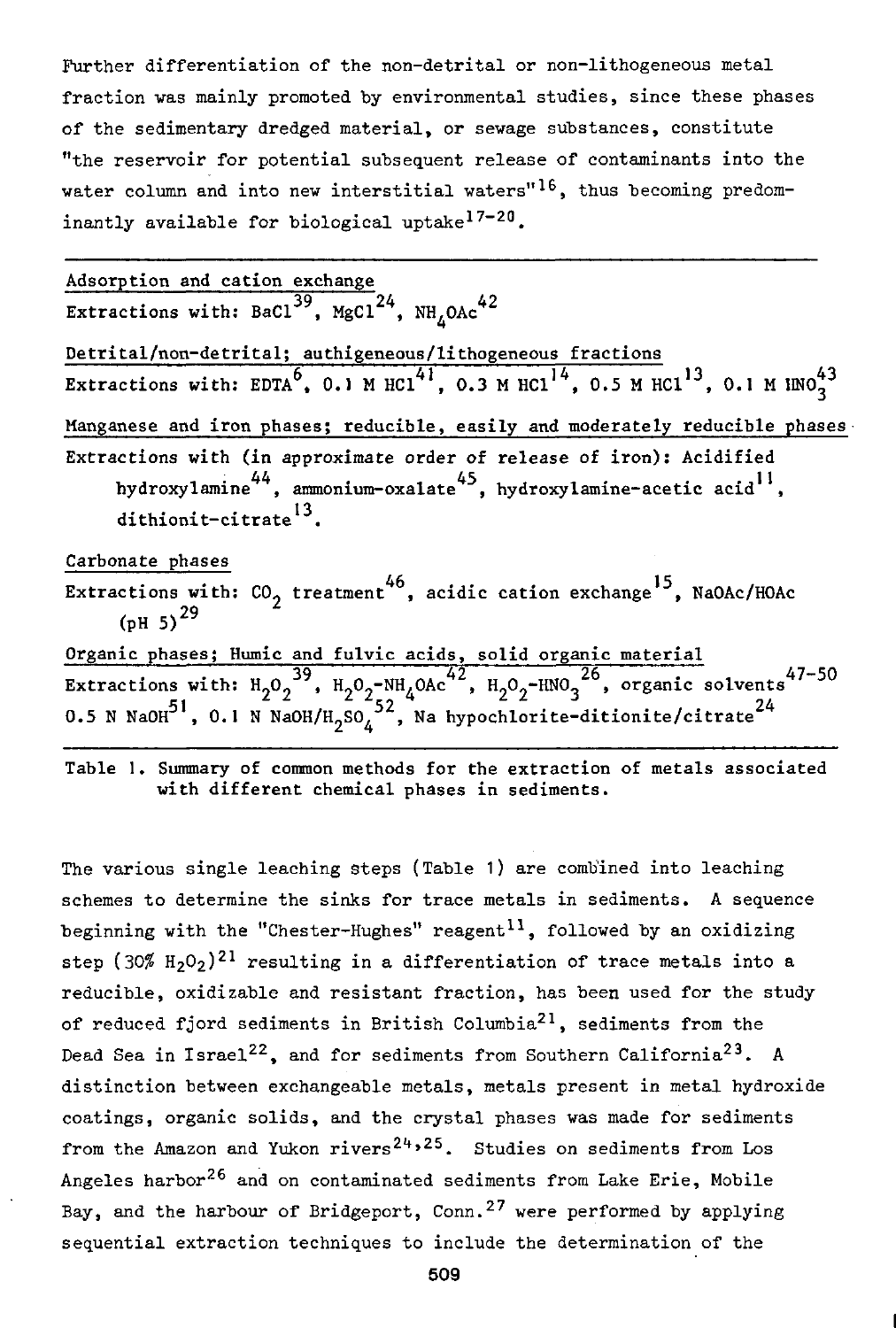Further differentiation of the non-detrital or non-lithogeneous metal fraction was mainly promoted by environmental studies, since these phases of the sedimentary dredged material, or sewage substances, constitute "the reservoir for potential subsequent release of contaminants into the water column and into new interstitial waters"<sup>16</sup>, thus becoming predominantly available for biological uptake<sup>17-20</sup>.

Adsorption and cation excha Extractions with: BaCl $^{39}$ , MgCl $^{24}$ , NH,OAc Detrital/non-detrital; authigeneous/lithogeneous fractions Extractions with: EDTA $^{\circ}$ , 0.1 M HCl<sup>++</sup>, 0.3 M HCl<sup>++</sup>, 0.5 M HCl Manganese and iron phases; reducible, easily and moderately reducible phases Extractions with (in approximate order of release of iron): Acidified  $\frac{44}{100}$  .  $\frac{44}{100}$  .  $\frac{45}{100}$  . hydroxylamine-acetic as hydroxylamine , ammonium-oxalate , hydroxylamine-acetic acid , dithionit-citrate<sup>13</sup>. Carbonate phases Extractions with:  $CO_2$  treatment<sup>46</sup>, acidic cation exchange<sup>15</sup>, NaOAc/HOAc

(pH 5)<sup>29</sup> Organic phases; Humic and fulvic acids, solid organic  $^{39}$  H 0  $\text{-NH}$  04 $\text{-}^{42}$  H 0  $\text{-HMO}$   $^{26}$  organic solvents<sup>47</sup>  $\frac{51}{51}$  ,  $\frac{400}{22}$  ,  $\frac{400}{22}$  ,  $\frac{400}{22}$  ,  $\frac{400}{22}$  ,  $\frac{400}{22}$ 0.5 N NaOH<sup>51</sup>, 0.1 N NaOH/H<sub>2</sub>SO<sub>4</sub><sup>52</sup>, Na hypochlorite-ditionite/citrate<sup>24</sup>

Table 1. Summary of common methods for the extraction of metals associated with different chemical phases in sediments.

0.5 N NaOH , 0.1 N NaOH , 0.1 N NaOH , NaOH , Na hypochlorite-ditionite-ditionite-ditionite-ditionite-ditionit<br>1980 : Na hypochlorite-ditionite-ditionite-ditionite-ditionite-ditionite-ditionite-ditionite-ditionite-ditioni

The various single leaching steps (Table 1) are combined into leaching schemes to determine the sinks for trace metals in sediments. A sequence beginning with the "Chester-Hughes" reagent<sup>11</sup>, followed by an oxidizing step (30%  $\text{H}_2\text{O}_2$ )<sup>21</sup> resulting in a differentiation of trace me reducible, oxidizable and resistant fraction, has been used for the study of reduced fjord sediments in British Columbia<sup>21</sup>, sediments from the Dead Sea in Israel<sup>22</sup>, and for sediments from Southern California<sup>23</sup>. A distinction between exchangeable metals, metals present in metal hydroxide coatings, organic solids, and the crystal phases was made for sediments from the Amazon and Yukon rivers<sup>24,25</sup>. Studies on sediment Angeles harbor<sup>26</sup> and on contaminated sediments from Lake Er: Bay, and the harbour of Bridgeport, Conn.<sup>27</sup> were performed by sequential extraction techniques to include the determination of the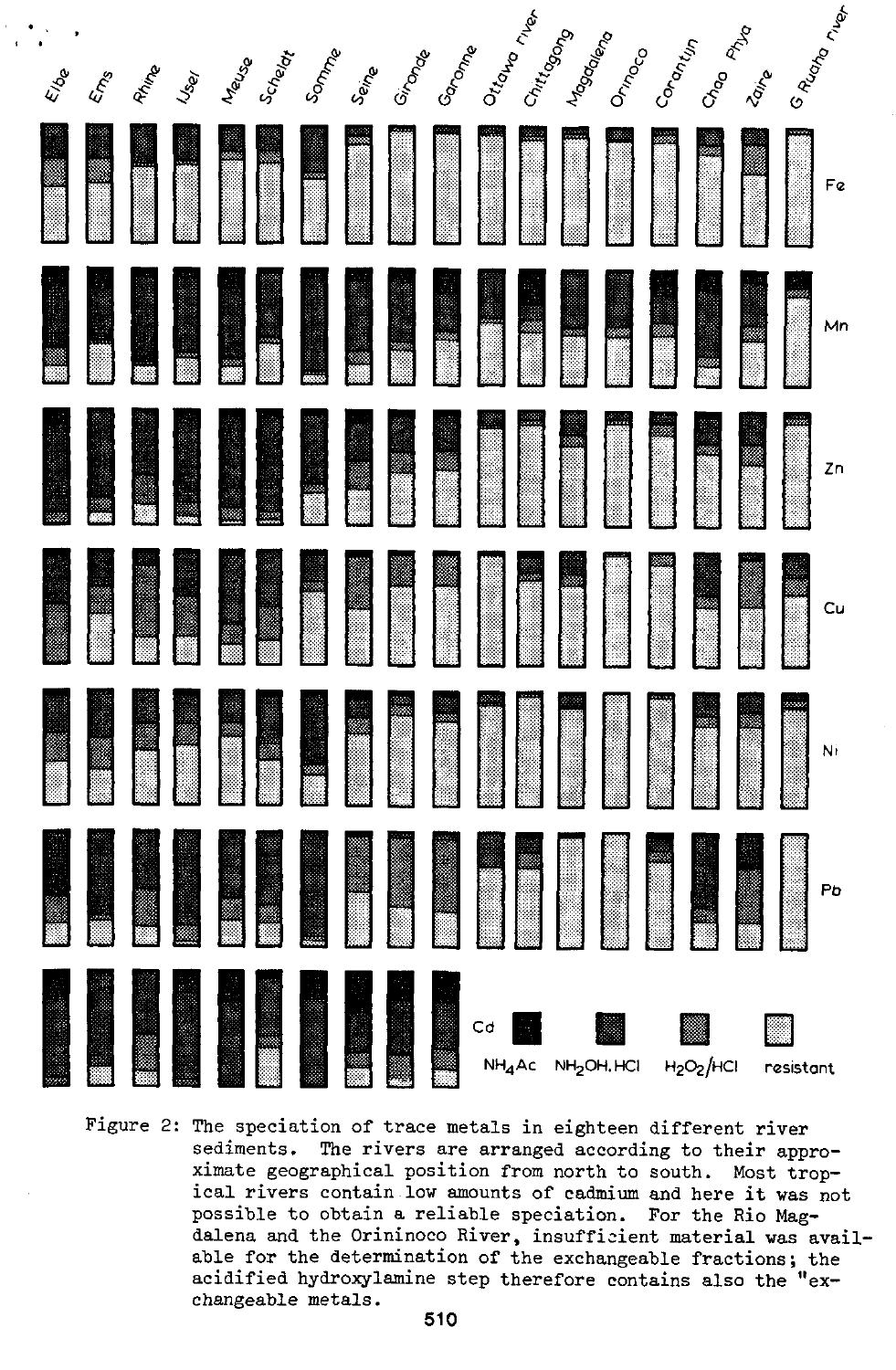|      |                             |      |               |              |         |       |       |         | Gonome | Ortown river<br>Chittogong | Magociena |        | Corantin | Chap Phys                          |              |           | G Ruono rue |
|------|-----------------------------|------|---------------|--------------|---------|-------|-------|---------|--------|----------------------------|-----------|--------|----------|------------------------------------|--------------|-----------|-------------|
| Elge | $\mathcal{L}^{\mathcal{E}}$ | Rima | <b>Island</b> | <b>Mause</b> | Scheept | Somme | Seine | Gironde |        |                            |           | Ormoco |          |                                    | <b>Point</b> |           |             |
|      |                             |      |               |              |         |       |       |         |        |                            |           |        |          |                                    |              |           |             |
|      |                             |      |               |              |         |       |       |         |        |                            |           |        |          |                                    |              |           |             |
|      |                             |      |               |              |         |       |       |         |        |                            |           |        |          |                                    |              |           |             |
|      |                             |      |               |              |         |       |       |         |        |                            |           |        |          | HANISH SANISH                      |              |           |             |
|      |                             |      |               |              |         |       |       |         |        |                            |           |        |          |                                    |              |           | Ni          |
|      |                             |      |               |              |         |       |       |         |        |                            |           |        |          |                                    |              |           |             |
|      |                             |      |               |              |         |       |       |         |        |                            |           |        |          | H <sub>2</sub> O <sub>2</sub> /HCl |              | resistant |             |

Figure 2: The speciation of trace metals in eighteen different river sediments. The rivers are arranged according to their approximate geographical position from north to south. Most tropical rivers contain low amounts of cadmium and here it was not possible to obtain a reliable speciation. For the Rio Magdalena and the Orininoco River, insufficient material was available for the determination of the exchangeable fractions; the acidified hydroxylamine step therefore contains also the "exchangeable metals.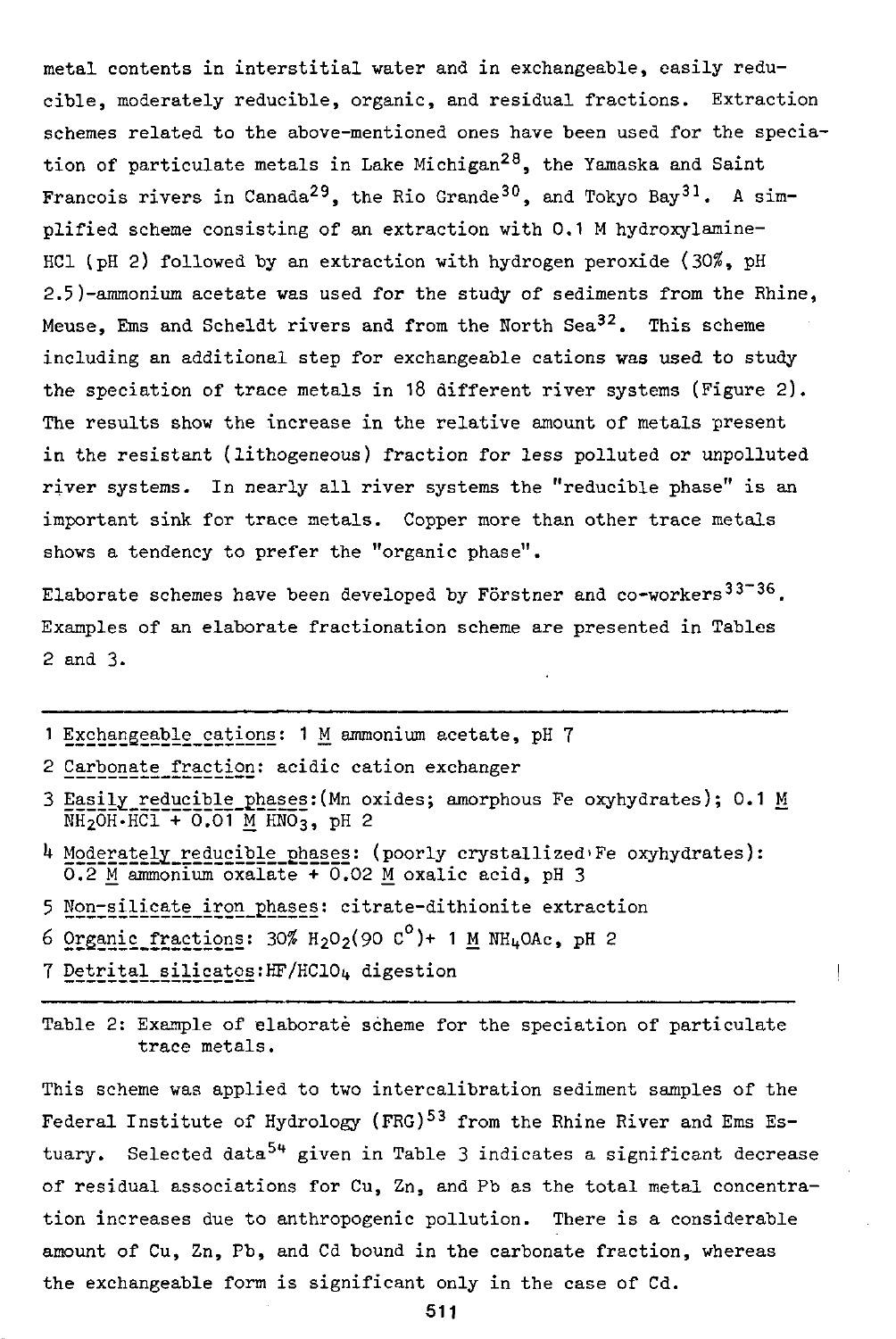metal contents in interstitial water and in exchangeable, easily reducible, moderately reducible, organic, and residual fractions. Extraction schemes related to the above-mentioned ones have been used for the speciation of particulate metals in Lake Michigan<sup>28</sup>, the Yamaska and Saint Francois rivers in Canada<sup>29</sup>, the Rio Grande<sup>30</sup>, and Tokyo Bay<sup>31</sup>. A simplified scheme consisting of an extraction with 0.1 M hydroxylamine-HC1 (pH 2) followed by an extraction with hydrogen peroxide (30\$, pH 2.5)-ammonium acetate was used for the study of sediments from the Rhine, Meuse, Ems and Scheldt rivers and from the North Sea $^{32}$ . This scheme including an additional step for exchangeable cations was used to study the speciation of trace metals in 18 different river systems (Figure 2). The results show the increase in the relative amount of metals present in the resistant ( lithogeneous) fraction for less polluted or unpolluted river systems. In nearly all river systems the "reducible phase" is an important sink for trace metals. Copper more than other trace metals shows a tendency to prefer the "organic phase".

Elaborate schemes have been developed by Förstner and co-workers $33 - 36$ . Examples of an elaborate fractionation scheme are presented in Tables 2 and 3.

- 1 Exchangeable cations: 1 M ammonium acetate, pH 7
- 2 Carbonate fraction: acidic cation exchanger
- 3 Easily reducible phases: (Mn oxides; amorphous Fe oxyhydrates); 0.1 M  $NH<sub>2</sub>OH-HCl + O<sub>1</sub>O1 M HNO<sub>3</sub>$ , pH 2
- *k* Moderately reducible phases: (poorly crystallized'Fe oxyhydrates):  $0.2$  M ammonium oxalate + 0.02 M oxalic acid, pH 3
- 5 Non-silicate iron phases: citrate-dithionite extraction
- 6 2EIHii£\_££E:£:Ei22E: 30^ H202(90 C°)+ 1 M WHi+OAc, pH 2
- 7 Detrital\_silicatos:HF/HC104 digesti

Table 2: Example of elaborate scheme for the speciation of particulate trace metals.

This scheme was applied to two intercalibration sediment samples of the Federal Institute of Hydrology (FRG)<sup>53</sup> from the Rhine River tuary. Selected data<sup>54</sup> given in Table 3 indicates a significa of residual associations for Cu, Zn, and Pb as the total metal concentration increases due to anthropogenic pollution. There is a considerable amount of Cu, Zn, Pb, and Cd bound in the carbonate fraction, whereas the exchangeable form is significant only in the case of Cd.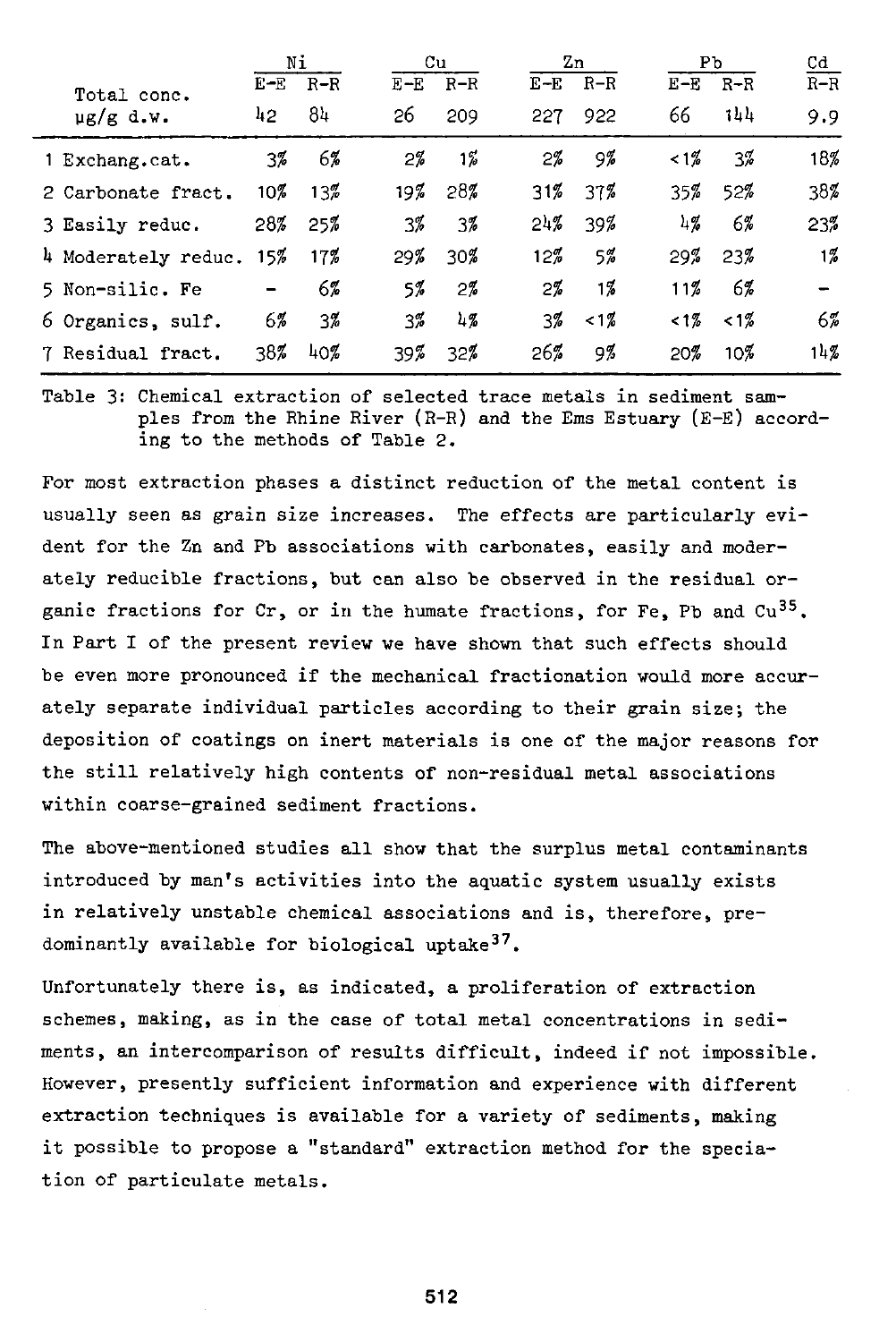|                     | Νi     |        |       | Cu      |       | Zn    | Pb              | Cd    |                |
|---------------------|--------|--------|-------|---------|-------|-------|-----------------|-------|----------------|
| Total conc.         | $E-E$  | $R-R$  | $E-E$ | $R-R$   | $E-E$ | $R-R$ | $E-E$           | R-R   | $R-R$          |
| $\mu$ g/g d.w.      | 42     | 84     | 26    | 209     | 227   | 922   | 66              | 144   | 9.9            |
| 1 Exchang.cat.      | 3%     | 6%     | $2\%$ | $1\%$   | $2\%$ | 9%    | $12\%$          | $3\%$ | 18%            |
| 2 Carbonate fract.  | $10\%$ | $13\%$ | 197   | 28%     | 31%   | 37%   | 35%             | 52%   | 38%            |
| 3 Easily reduc.     | 28%    | 25%    | 3%    | 3%      | 24%   | 39%   | 1/2             | 6%    | 23%            |
| 4 Moderately reduc. | 15%    | 17%    | 29%   | 30%     | 12%   | $5\%$ | 29%             | 23%   | $1\frac{7}{6}$ |
| 5 Non-silic. Fe     |        | 6%     | 5%    | $2\%$   | $2\%$ | 17.   | 11%             | 6%    |                |
| 6 Organics, sulf.   | 6%     | 3%     | 3%    | $^{17}$ | 3%    | $1\%$ | 12 <sup>7</sup> | $1\%$ | $6\%$          |
| 7 Residual fract.   | 38%    | 40%    | 39%   | 32%     | 26%   | 9%    | 20%             | 10%   | 14%            |

Table 3: Chemical extraction of selected trace metals in sediment samples from the Rhine River (R-R) and the Ems Estuary (E-E) according to the methods of Table 2.

For most extraction phases a distinct reduction of the metal content is usually seen as grain size increases. The effects are particularly evident for the Zn and Pb associations with carbonates, easily and moderately reducible fractions, but can also be observed in the residual organic fractions for  $Cr$ , or in the humate fractions, for Fe, Pb and  $Cu^{35}$ . In Part I of the present review we have shown that such effects should be even more pronounced if the mechanical fractionation would more accurately separate individual particles according to their grain size; the deposition of coatings on inert materials is one of the major reasons for the still relatively high contents of non-residual metal associations within coarse-grained sediment fractions.

The above-mentioned studies all show that the surplus metal contaminants introduced by man's activities into the aquatic system usually exists in relatively unstable chemical associations and is, therefore, predominantly available for biological uptake<sup>37</sup>.

Unfortunately there is, as indicated, a proliferation of extraction schemes, making, as in the case of total metal concentrations in sediments, an intercomparison of results difficult, indeed if not impossible. However, presently sufficient information and experience with different extraction techniques is available for a variety of sediments, making it possible to propose a "standard" extraction method for the speciation of particulate metals.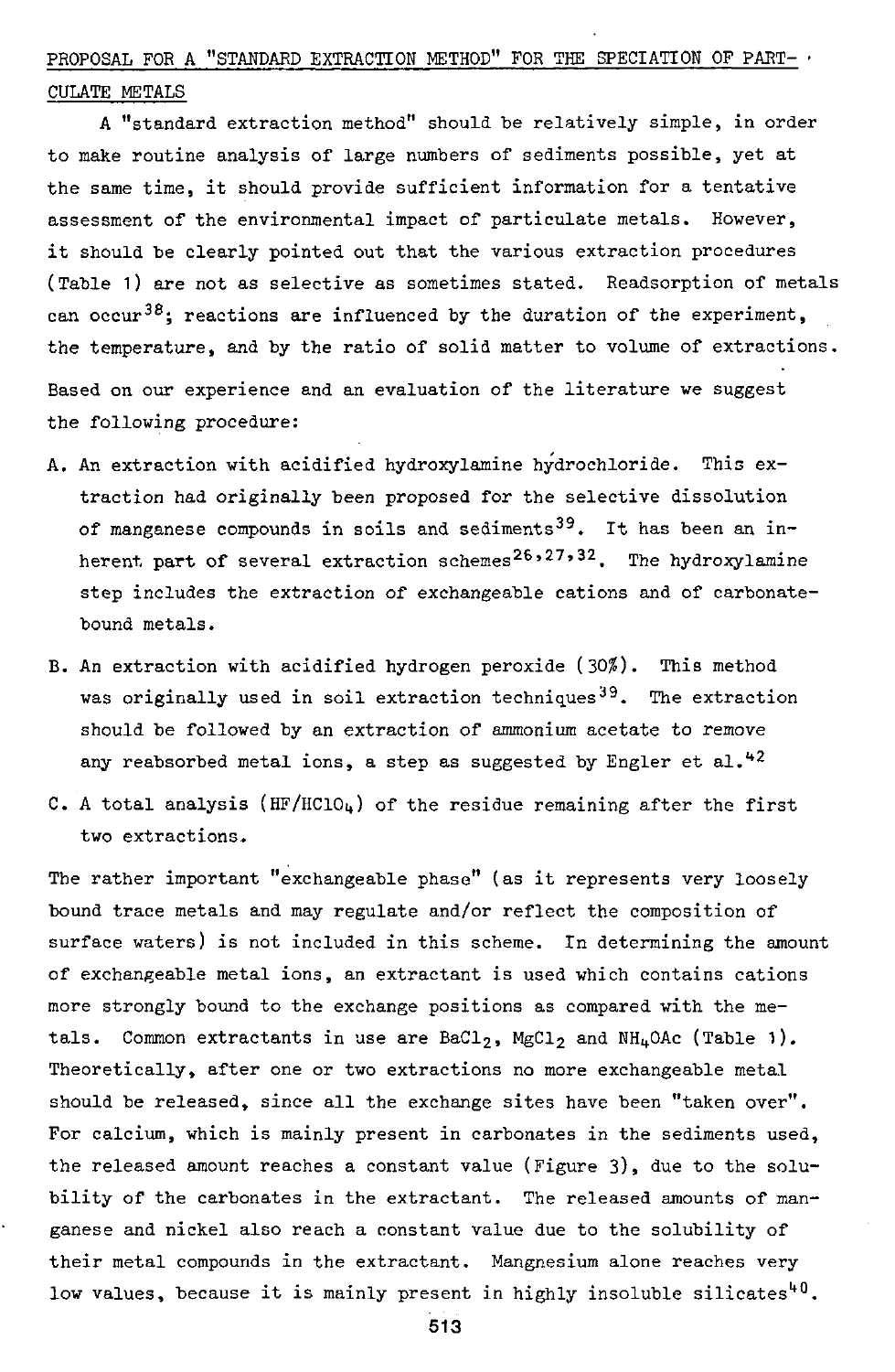# PROPOSAL FOR A "STANDARD EXTRACTION METHOD" FOR THE SPECIATION OF PART-  $\prime$ CULATE METALS

A "standard extraction method" should be relatively simple, in order to make routine analysis of large numbers of sediments possible, yet at the same time, it should provide sufficient information for a tentative assessment of the environmental impact of particulate metals. However, it should be clearly pointed out that the various extraction procedures (Table 1) are not as selective as sometimes stated. Readsorption of metals can occur<sup>38</sup>; reactions are influenced by the duration of the experiment, the temperature, and by the ratio of solid matter to volume of extractions. Based on our experience and an evaluation of the literature we suggest the following procedure:

- A. An extraction with acidified hydroxylamine hydrochloride. This extraction had originally been proposed for the selective dissolution of manganese compounds in soils and sediments<sup>39</sup>. It has been an inherent part of several extraction schemes<sup>26,27,32</sup>. The hydrox step includes the extraction of exchangeable cations and of carbonatebound metals.
- B. An extraction with acidified hydrogen peroxide (30\$). This method was originally used in soil extraction techniques<sup>39</sup>. The extraction should be followed by an extraction of ammonium acetate to remove any reabsorbed metal ions, a step as suggested by Engler et al. $42$
- C. A total analysis (HF/HClO<sub>4</sub>) of the residue remaining after the first two extractions.

The rather important "exchangeable phase" (as it represents very loosely bound trace metals and may regulate and/or reflect the composition of surface waters) is not included in this scheme. In determining the amount of exchangeable metal ions, an extractant is used which contains cations more strongly bound to the exchange positions as compared with the metals. Common extractants in use are BaCl<sub>2</sub>, MgCl<sub>2</sub> and NH<sub>4</sub>OAc (Table 1). Theoretically, after one or two extractions no more exchangeable metal should be released, since all the exchange sites have been "taken over". For calcium, which is mainly present in carbonates in the sediments used, the released amount reaches a constant value (Figure 3), due to the solubility of the carbonates in the extractant. The released amounts of manganese and nickel also reach a constant value due to the solubility of their metal compounds in the extractant. Mangnesium alone reaches very low values, because it is mainly present in highly insoluble sil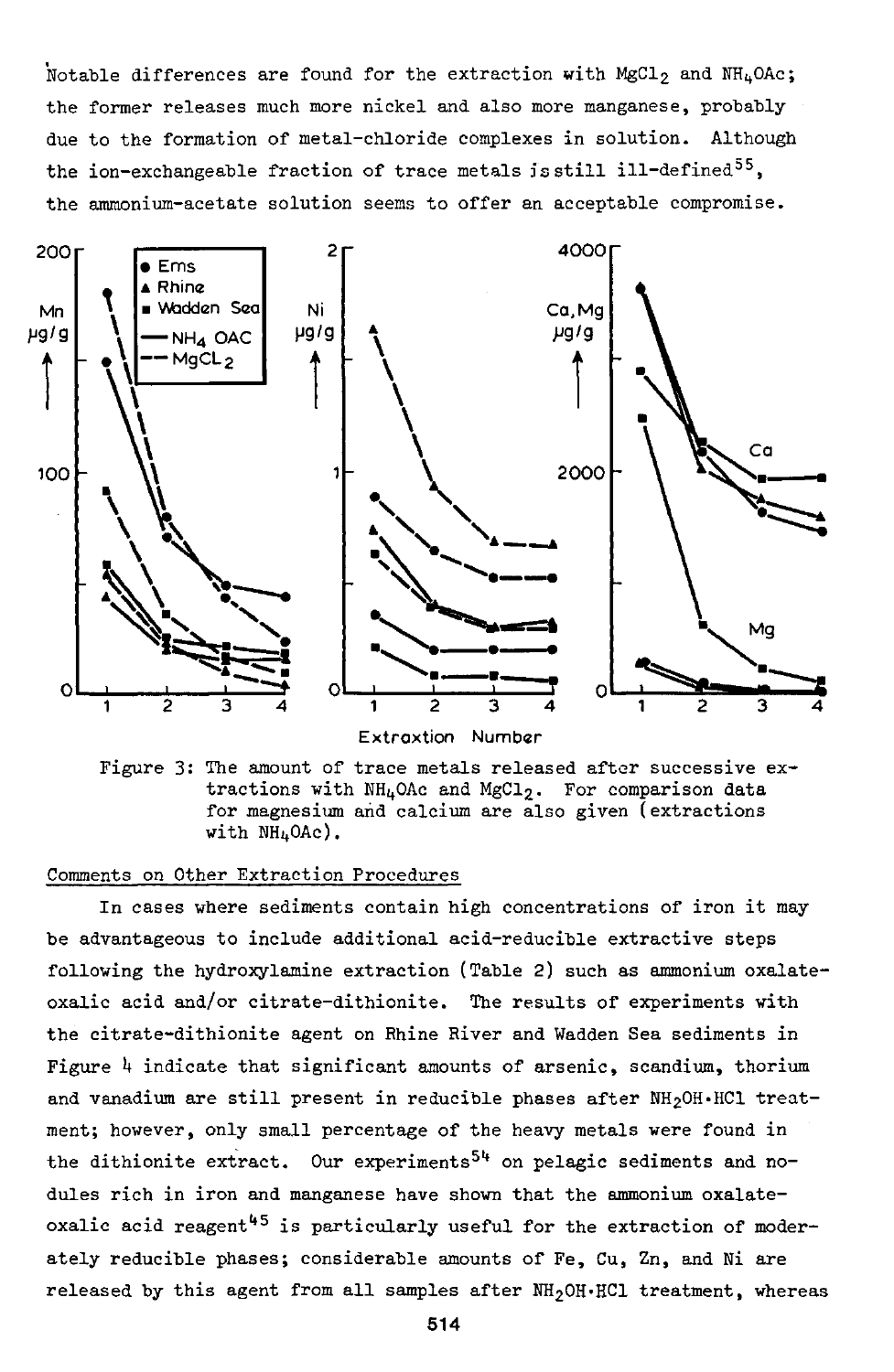Notable differences are found for the extraction with MgCl<sub>2</sub> and NH<sub>4</sub>OAc; the former releases much more nickel and also more manganese, probably due to the formation of metal-chloride complexes in solution. Although the ion-exchangeable fraction of trace metals is still ill-defined<sup>55</sup>. the ammonium-acetate solution seems to offer an acceptable compromise.



Extraxtion

Figure 3: The amount of trace metals released after successive extractions with  $NH_4$ OAc and MgCl<sub>2</sub>. For comparison data for magnesium and calcium are also given (extractions with  $NH<sub>4</sub>OAc$ ).

## Comments on Other Extraction Procedures

In cases where sediments contain high concentrations of iron it maybe advantageous to include additional acid-reducible extractive steps following the hydroxylamine extraction (Table 2) such as ammonium oxalateoxalic acid and/or citrate-dithionite. The results of experiments with the citrate-dithionite agent on Rhine River and Wadden Sea sediments in Figure *h* indicate that significant amounts of arsenic, scandium, thorium and vanadium are still present in reducible phases after  $NH<sub>2</sub>OH·HCl$  treatment; however, only small percentage of the heavy metals were found in the dithionite extract. Our experiments<sup>54</sup> on pelagic sediments and nodules rich in iron and manganese have shown that the ammonium oxalateoxalic acid reagent<sup>45</sup> is particularly useful for the extraction ately reducible phases; considerable amounts of Fe, Cu, Zn, and Ni are released by this agent from all samples after  $NH<sub>2</sub>OH·HCl$  treatment, whereas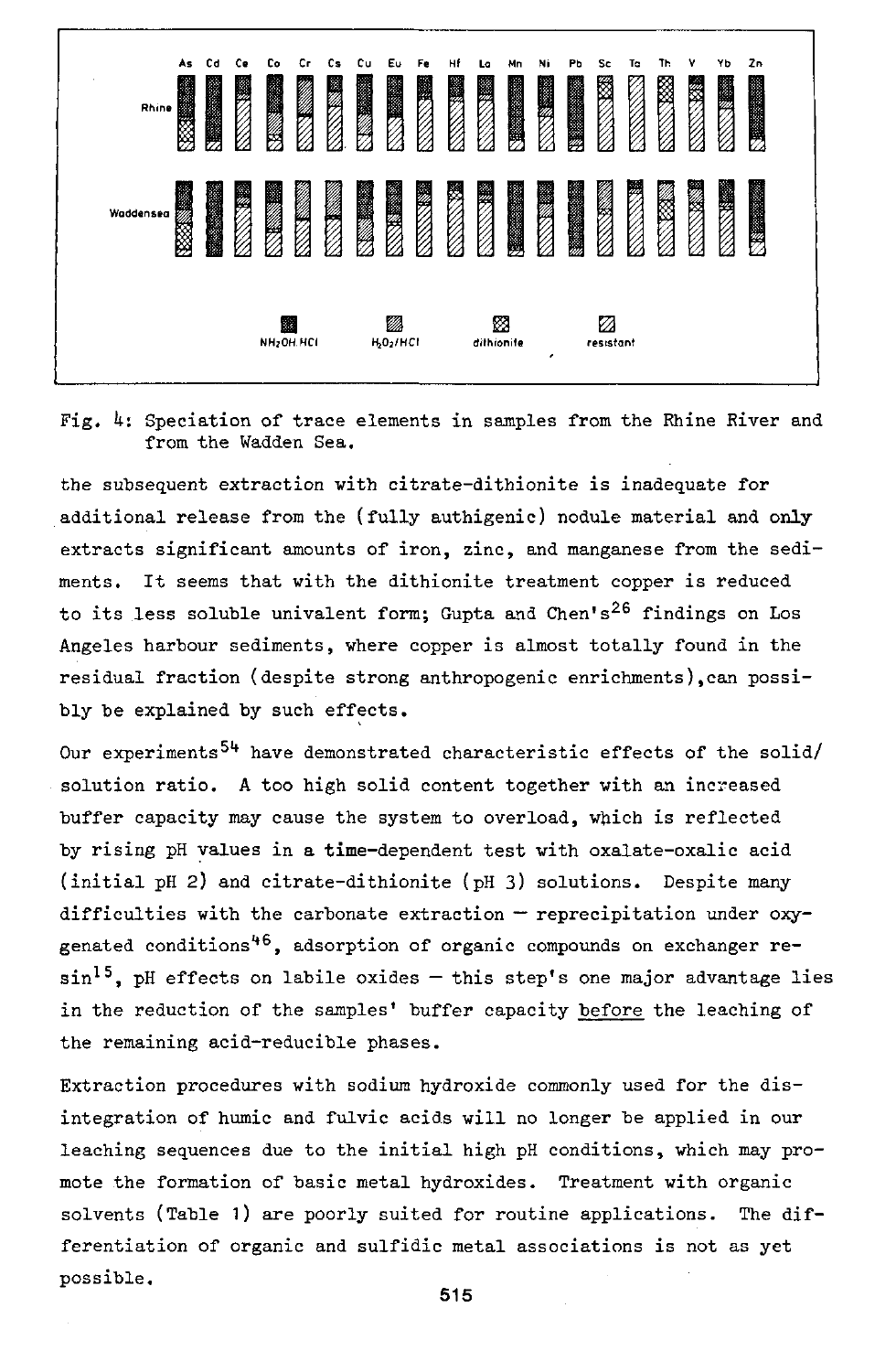

Fig. 4: Speciation of trace elements in samples from the Rhine River and from the Wadden Sea.

the subsequent extraction with citrate-dithionite is inadequate for additional release from the (fully authigenic) nodule material and only extracts significant amounts of iron, zinc, and manganese from the sediments. It seems that with the dithionite treatment copper is reduced to its less soluble univalent form; Gupta and Chen's<sup>26</sup> find Angeles harbour sediments, where copper is almost totally found in the residual fraction (despite strong anthropogenic enrichments),can possibly be explained by such effects.

Our experiments<sup>54</sup> have demonstrated characteristic effects of the solid/ solution ratio. A too high solid content together with an increased buffer capacity may cause the system to overload, which is reflected by rising pH values in a time-dependent test with oxalate-oxalic acid (initial pH 2) and citrate-dithionite (pH 3) solutions. Despite many difficulties with the carbonate extraction — reprecipitation under oxygenated conditions'<sup>46</sup>, adsorption of organic compounds on exchanger re- $\sin^{15}$ , pH effects on labile oxides – this step's one major advantage lies in the reduction of the samples' buffer capacity before the leaching of the remaining acid-reducible phases.

Extraction procedures with sodium hydroxide commonly used for the disintegration of humic and fulvic acids will no longer be applied in our leaching sequences due to the initial high pH conditions, which may promote the formation of basic metal hydroxides. Treatment with organic solvents (Table 1) are poorly suited for routine applications. The differentiation of organic and sulfidic metal associations is not as yet possible.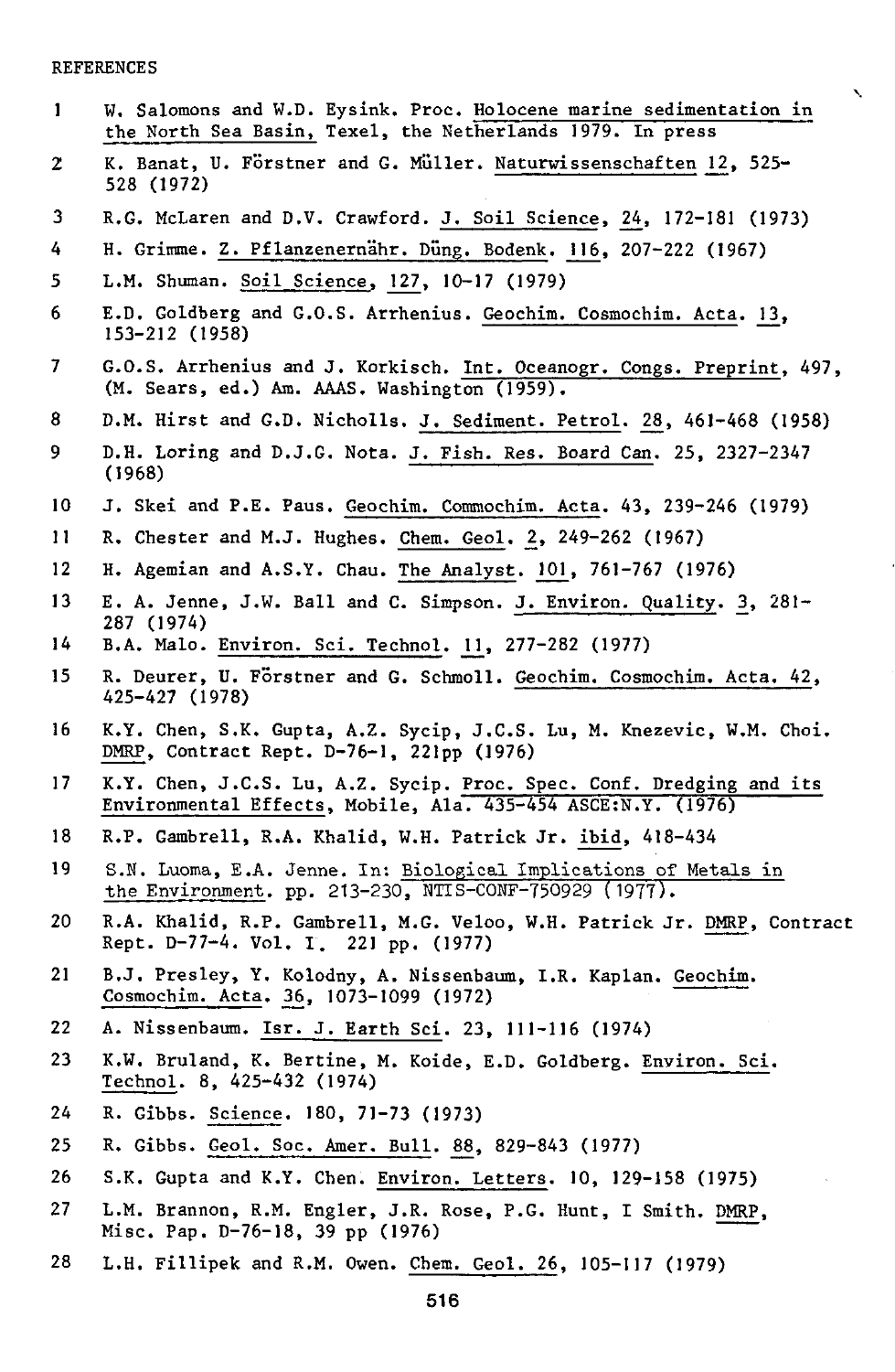#### REFERENCES

1 W. Salomons and W.D. Eysink. Proc. Holocene marine sedimentation in the North Sea Basin, Texel, the Netherlands 1979. In press

 $\boldsymbol{\mathcal{N}}$ 

- 2 K. Banat, U. Förstner and G. Müller. Naturwissenschaften 12, 525-528 (1972)
- 3 R.G. McLaren and D.V. Crawford. J. Soil Science, 24, 172-181 (1973)
- 4 H. Grimme. Z. Pflanzenernähr. Düng. Bodenk. 116, 207-222 (1967)
- 5 L.M. Shuman. Soil Science, 127, 10-17 (1979)
- 6 E.D. Goldberg and G.O.S. Arrhenius. Geochim. Cosmochim. Acta. 13, 153-212 (1958)
- 7 G.O.S. Arrhenius and J. Korkisch. Int. Oceanogr. Congs. Preprint, 497, (M. Sears, ed.) Am. AAAS. Washington (1959).
- 8 D.M. Hirst and G.D. Nicholls. J. Sediment. Petrol. 28, 461-468 (1958)
- 9 D.H. Loring and D.J.G. Nota. J. Fish. Res. Board Can. 25, 2327-2347 (1968)
- 10 J. Skei and P.E. Paus. Geochim. Commochim. Acta. 43, 239-246 (1979)
- 11 R. Chester and M.J. Hughes. Chem. Geol. *2,* 249-262 (1967)
- 12 H. Agemian and A.S.Y. Chau. The Analyst. 101, 761-767 (1976)
- 13 E. A. Jenne, J.W. Ball and C. Simpson. J. Environ. Quality. 3, 281-287 (1974)
- 14 B.A. Malo. Environ. Sei. Technol. *U\_,* 277-282 (1977)
- 15 R. Deurer, U. Förstner and G. Schmoll. Geochim. Cosmochim. Acta. 42, 425-427 (1978)
- 16 K.Y. Chen, S.K. Gupta, A.Z. Sycip, J.C.S. Lu, M. Knezevic, W.M. Choi. DMRP, Contract Rept. D-76-1, 221pp (1976)
- 17 K.Y. Chen, J.C.S. Lu, A.Z. Sycip. Proc. Spec. Conf. Dredging and its Environmental Effects, Mobile, Ala. 435-454 ASCE:N.Y. (1976)
- 18 R.P. Gambrell, R.A. Khalid, W.H. Patrick Jr. ibid, 418-434
- 19 S.N. Luoma, E.A. Jenne. In: Biological Implications of Metals in the Environment, pp. 213-230, NTIS-CONF-750929 (1977).
- 20 R.A. Khalid, R.P. Gambrell, M.G. Veloo, W.H. Patrick Jr. DMRP, Contract Rept. D-77-4. Vol. I. 221 pp. (1977)
- 21 B.J. Presley, Y. Kolodny, A. Nissenbaum, I.R. Kaplan. Geochim. Cosmochim. Acta. *36,* 1073-1099 (1972)
- 22 A. Nissenbaum. Isr. J. Earth Sei. 23, 111-116 (1974)
- 23 K.W. Bruland, K. Bertine, M. Koide, E.D. Goldberg. Environ. Sei. Technol. 8, 425-432 (1974)
- 24 R. Gibbs. Science. 180, 71-73 (1973)
- 25 R. Gibbs. Geol. Soc. Amer. Bull. 88, 829-843 (1977)
- 26 S.K. Gupta and K.Y. Chen. Environ. Letters. 10, 129-158 (1975)
- 27 L.M. Brannon, R.M. Engler, J.R. Rose, P.G. Hunt, I Smith. DMRP, Mise. Pap. D-76-18, 39 pp (1976)
- 28 L.H. Fillipek and R.M. Owen. Chem. Geol. 26, 105-117 (1979)